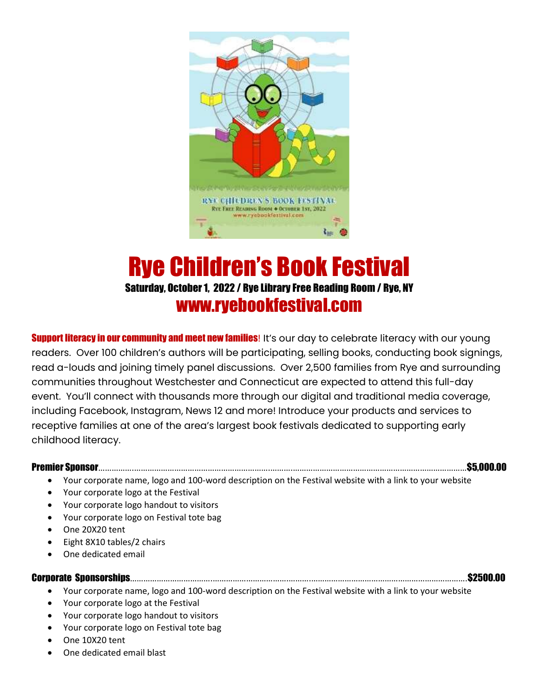

## Rye Children's Book Festival Saturday, October 1, 2022 / Rye Library Free Reading Room / Rye, NY www.ryebookfestival.com

**Support literacy in our community and meet new families!** It's our day to celebrate literacy with our young readers. Over 100 children's authors will be participating, selling books, conducting book signings, read a-louds and joining timely panel discussions. Over 2,500 families from Rye and surrounding communities throughout Westchester and Connecticut are expected to attend this full-day event. You'll connect with thousands more through our digital and traditional media coverage, including Facebook, Instagram, News 12 and more! Introduce your products and services to receptive families at one of the area's largest book festivals dedicated to supporting early childhood literacy.

## Premier Sponsor…………….…………………………………………………….……….……………………………………………………………………\$5,000.00

- Your corporate name, logo and 100-word description on the Festival website with a link to your website
- Your corporate logo at the Festival
- Your corporate logo handout to visitors
- Your corporate logo on Festival tote bag
- One 20X20 tent
- Eight 8X10 tables/2 chairs
- One dedicated email

## Corporate Sponsorships……………………………….…………………………….……….…………………………………………………………….\$2500.00

- Your corporate name, logo and 100-word description on the Festival website with a link to your website
- Your corporate logo at the Festival
- Your corporate logo handout to visitors
- Your corporate logo on Festival tote bag
- One 10X20 tent
- One dedicated email blast